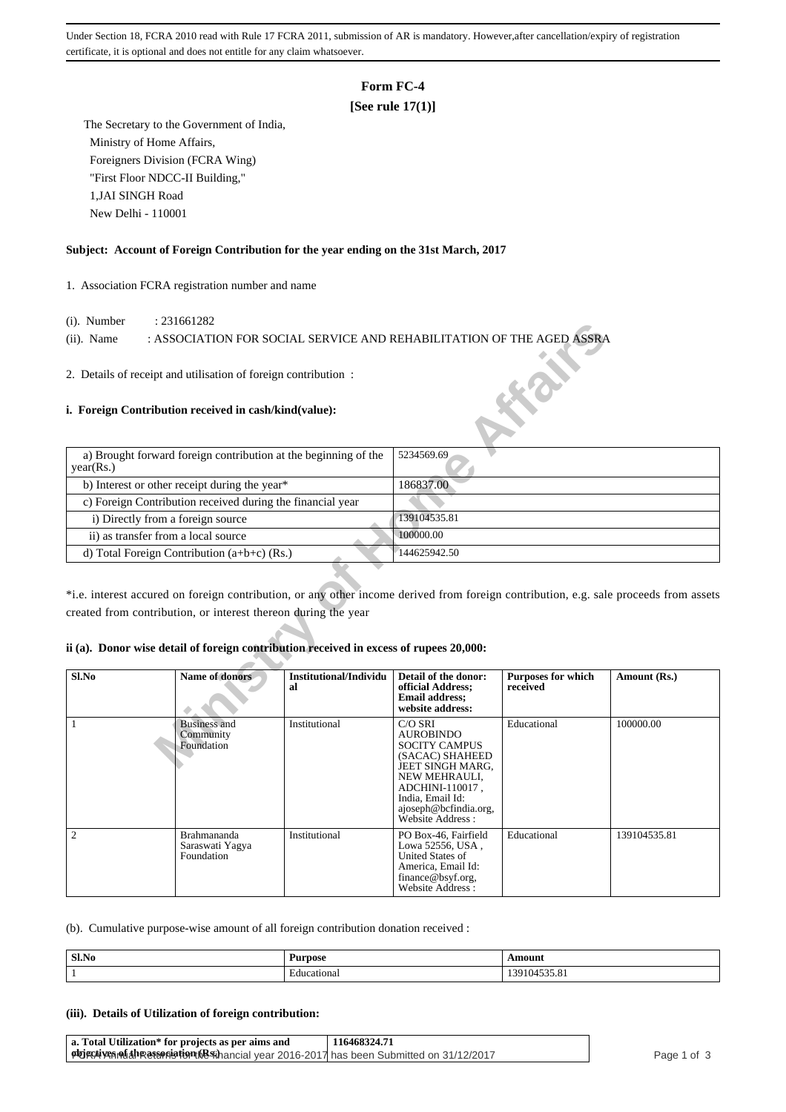Under Section 18, FCRA 2010 read with Rule 17 FCRA 2011, submission of AR is mandatory. However,after cancellation/expiry of registration certificate, it is optional and does not entitle for any claim whatsoever.

# **Form FC-4**

# **[See rule 17(1)]**

 The Secretary to the Government of India, Ministry of Home Affairs, Foreigners Division (FCRA Wing) "First Floor NDCC-II Building," 1,JAI SINGH Road New Delhi - 110001

### **Subject: Account of Foreign Contribution for the year ending on the 31st March, 2017**

1. Association FCRA registration number and name

- (i). Number : 231661282
- (ii). Name : ASSOCIATION FOR SOCIAL SERVICE AND REHABILITATION OF THE AGED ASSRA

## **i. Foreign Contribution received in cash/kind(value):**

| $(1)$ . INUITIUUT                                          | . $2J1001202$                                                                                                                                                                                           |                              |                                                                                                   |                                       |              |
|------------------------------------------------------------|---------------------------------------------------------------------------------------------------------------------------------------------------------------------------------------------------------|------------------------------|---------------------------------------------------------------------------------------------------|---------------------------------------|--------------|
| $(ii)$ . Name                                              | : ASSOCIATION FOR SOCIAL SERVICE AND REHABILITATION OF THE AGED ASSRA                                                                                                                                   |                              |                                                                                                   |                                       |              |
|                                                            |                                                                                                                                                                                                         |                              |                                                                                                   |                                       |              |
|                                                            | 2. Details of receipt and utilisation of foreign contribution:<br>i. Foreign Contribution received in cash/kind(value):                                                                                 |                              |                                                                                                   |                                       |              |
|                                                            |                                                                                                                                                                                                         |                              |                                                                                                   |                                       |              |
| year(Rs.)                                                  | a) Brought forward foreign contribution at the beginning of the                                                                                                                                         |                              | 5234569.69                                                                                        |                                       |              |
|                                                            | b) Interest or other receipt during the year*                                                                                                                                                           |                              | 186837.00                                                                                         |                                       |              |
| c) Foreign Contribution received during the financial year |                                                                                                                                                                                                         |                              |                                                                                                   |                                       |              |
| i) Directly from a foreign source                          |                                                                                                                                                                                                         |                              | 139104535.81                                                                                      |                                       |              |
| ii) as transfer from a local source                        |                                                                                                                                                                                                         |                              | 100000.00                                                                                         |                                       |              |
|                                                            | d) Total Foreign Contribution (a+b+c) (Rs.)                                                                                                                                                             |                              | 144625942.50                                                                                      |                                       |              |
|                                                            | *i.e. interest accured on foreign contribution, or any other income derived from foreign contribution, e.g. sale proceeds from assets<br>created from contribution, or interest thereon during the year |                              |                                                                                                   |                                       |              |
|                                                            | ii (a). Donor wise detail of foreign contribution received in excess of rupees 20,000:                                                                                                                  |                              |                                                                                                   |                                       |              |
| Sl.No                                                      | <b>Name of donors</b>                                                                                                                                                                                   | Institutional/Individu<br>al | Detail of the donor:<br>official Address;<br><b>Email address;</b><br>website address:            | <b>Purposes for which</b><br>received | Amount (Rs.) |
| 1                                                          | <b>Business and</b><br>Community<br>Foundation                                                                                                                                                          | Institutional                | C/O SRI<br><b>AUROBINDO</b><br><b>SOCITY CAMPUS</b><br>(SACAC) SHAHEED<br><b>JEET SINGH MARG.</b> | Educational                           | 100000.00    |

#### **ii (a). Donor wise detail of foreign contribution received in excess of rupees 20,000:**

| Sl.No          | <b>Name of donors</b>                               | Institutional/Individu<br>al | Detail of the donor:<br>official Address;<br><b>Email address;</b><br>website address:                                                                                                          | <b>Purposes for which</b><br>received | Amount (Rs.) |
|----------------|-----------------------------------------------------|------------------------------|-------------------------------------------------------------------------------------------------------------------------------------------------------------------------------------------------|---------------------------------------|--------------|
|                | <b>Business and</b><br>Community<br>Foundation      | Institutional                | C/O SRI<br><b>AUROBINDO</b><br><b>SOCITY CAMPUS</b><br>(SACAC) SHAHEED<br>JEET SINGH MARG,<br>NEW MEHRAULI.<br>ADCHINI-110017,<br>India, Email Id:<br>ajoseph@bcfindia.org,<br>Website Address: | Educational                           | 100000.00    |
| $\overline{c}$ | <b>Brahmananda</b><br>Saraswati Yagya<br>Foundation | Institutional                | PO Box-46, Fairfield<br>Lowa 52556, USA,<br>United States of<br>America, Email Id:<br>finance@bsyf.org,<br>Website Address:                                                                     | Educational                           | 139104535.81 |

(b). Cumulative purpose-wise amount of all foreign contribution donation received :

| Sl.No | Purpose          | Amour          |
|-------|------------------|----------------|
|       | cational<br>.dnc | $\sim$<br>J.O. |

#### **(iii). Details of Utilization of foreign contribution:**

| a. Total Utilization* for projects as per aims and                                                  | 116468324.71 |             |
|-----------------------------------------------------------------------------------------------------|--------------|-------------|
| $\phi$ phonon photosphane phonon and the Silhancial vear 2016-2017 has been Submitted on 31/12/2017 |              | Page 1 of 3 |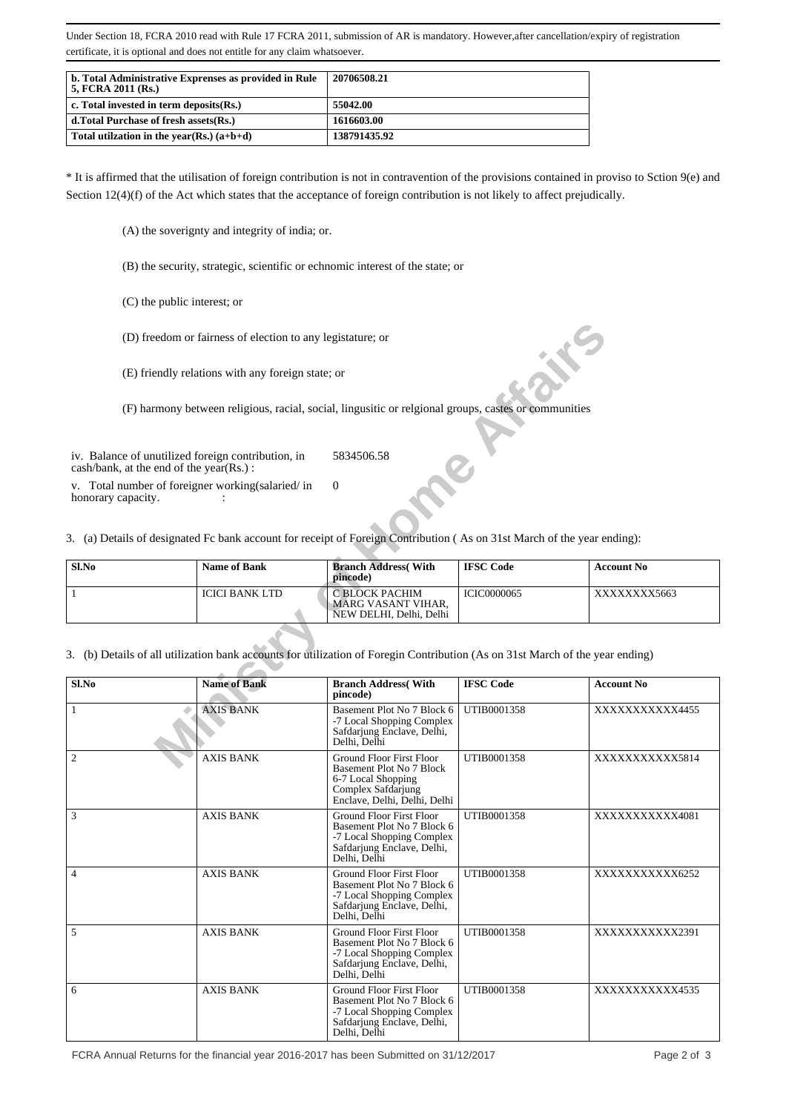Under Section 18, FCRA 2010 read with Rule 17 FCRA 2011, submission of AR is mandatory. However,after cancellation/expiry of registration certificate, it is optional and does not entitle for any claim whatsoever.

| b. Total Administrative Exprenses as provided in Rule<br>5, FCRA 2011 (Rs.) | 20706508.21  |
|-----------------------------------------------------------------------------|--------------|
| c. Total invested in term deposits $(Rs.)$                                  | 55042.00     |
| d. Total Purchase of fresh assets (Rs.)                                     | 1616603.00   |
| Total utilization in the year(Rs.) $(a+b+d)$                                | 138791435.92 |

\* It is affirmed that the utilisation of foreign contribution is not in contravention of the provisions contained in proviso to Sction 9(e) and Section 12(4)(f) of the Act which states that the acceptance of foreign contribution is not likely to affect prejudically.

- (A) the soverignty and integrity of india; or.
- (B) the security, strategic, scientific or echnomic interest of the state; or
- (C) the public interest; or
- (D) freedom or fairness of election to any legistature; or

| Sl.No | Name of Bank   | <b>Branch Address</b> (With<br>pincode)                           | <b>IFSC Code</b>   | <b>Account No</b> |
|-------|----------------|-------------------------------------------------------------------|--------------------|-------------------|
|       | ICICI BANK LTD | C BLOCK PACHIM<br>  MARG VASANT VIHAR.<br>NEW DELHI, Delhi, Delhi | <b>ICIC0000065</b> | XXXXXXXX5663      |

|                                                                                               | (D) freedom or fairness of election to any legistature; or |                                                                                                                                          |                    |                   |
|-----------------------------------------------------------------------------------------------|------------------------------------------------------------|------------------------------------------------------------------------------------------------------------------------------------------|--------------------|-------------------|
|                                                                                               | (E) friendly relations with any foreign state; or          |                                                                                                                                          |                    |                   |
|                                                                                               |                                                            | (F) harmony between religious, racial, social, lingusitic or relgional groups, castes or communities                                     |                    |                   |
| iv. Balance of unutilized foreign contribution, in<br>cash/bank, at the end of the year(Rs.): |                                                            | 5834506.58                                                                                                                               |                    |                   |
| v. Total number of foreigner working(salaried/in<br>honorary capacity.                        |                                                            | $\Omega$                                                                                                                                 |                    |                   |
|                                                                                               |                                                            | 3. (a) Details of designated Fc bank account for receipt of Foreign Contribution (As on 31st March of the year ending):                  |                    |                   |
| Sl.No                                                                                         | <b>Name of Bank</b>                                        | <b>Branch Address</b> (With<br>pincode)                                                                                                  | <b>IFSC</b> Code   | <b>Account No</b> |
| $\mathbf{1}$                                                                                  | <b>ICICI BANK LTD</b>                                      | C BLOCK PACHIM<br>MARG VASANT VIHAR,<br>NEW DELHI, Delhi, Delhi                                                                          | <b>ICIC0000065</b> | XXXXXXX5663       |
|                                                                                               |                                                            | 3. (b) Details of all utilization bank accounts for utilization of Foregin Contribution (As on 31st March of the year ending)            |                    |                   |
| Sl.No                                                                                         | <b>Name of Bank</b>                                        | <b>Branch Address</b> (With<br>pincode)                                                                                                  | <b>IFSC</b> Code   | <b>Account No</b> |
| $\mathbf{1}$                                                                                  | <b>AXIS BANK</b>                                           | Basement Plot No 7 Block 6<br>-7 Local Shopping Complex<br>Safdarjung Enclave, Delhi,<br>Delhi, Delhi                                    | UTIB0001358        | XXXXXXXXXX4455    |
| $\mathfrak{2}$                                                                                | <b>AXIS BANK</b>                                           | <b>Ground Floor First Floor</b><br>Basement Plot No 7 Block<br>6-7 Local Shopping<br>Complex Safdarjung<br>Enclave, Delhi, Delhi, Delhi  | UTIB0001358        | XXXXXXXXXXX5814   |
| 3                                                                                             | <b>AXIS BANK</b>                                           | <b>Ground Floor First Floor</b><br>Basement Plot No 7 Block 6<br>-7 Local Shopping Complex<br>Safdarjung Enclave, Delhi,<br>Delhi, Delhi | UTIB0001358        | XXXXXXXXXX4081    |
| 4                                                                                             | <b>AXIS BANK</b>                                           | <b>Ground Floor First Floor</b><br>Basement Plot No 7 Block 6<br>-7 Local Shopping Complex<br>Safdarjung Enclave, Delhi,<br>Delhi, Delhi | UTIB0001358        | XXXXXXXXXXX6252   |
| 5                                                                                             | <b>AXIS BANK</b>                                           | Ground Floor First Floor<br>Basement Plot No 7 Block 6<br>-7 Local Shopping Complex<br>Safdarjung Enclave, Delhi,<br>Delhi, Delhi        | UTIB0001358        | XXXXXXXXXXX2391   |
| 6                                                                                             | <b>AXIS BANK</b>                                           | <b>Ground Floor First Floor</b><br>Basement Plot No 7 Block 6<br>-7 Local Shopping Complex<br>Safdarjung Enclave, Delhi,<br>Delhi, Delhi | UTIB0001358        | XXXXXXXXXX4535    |